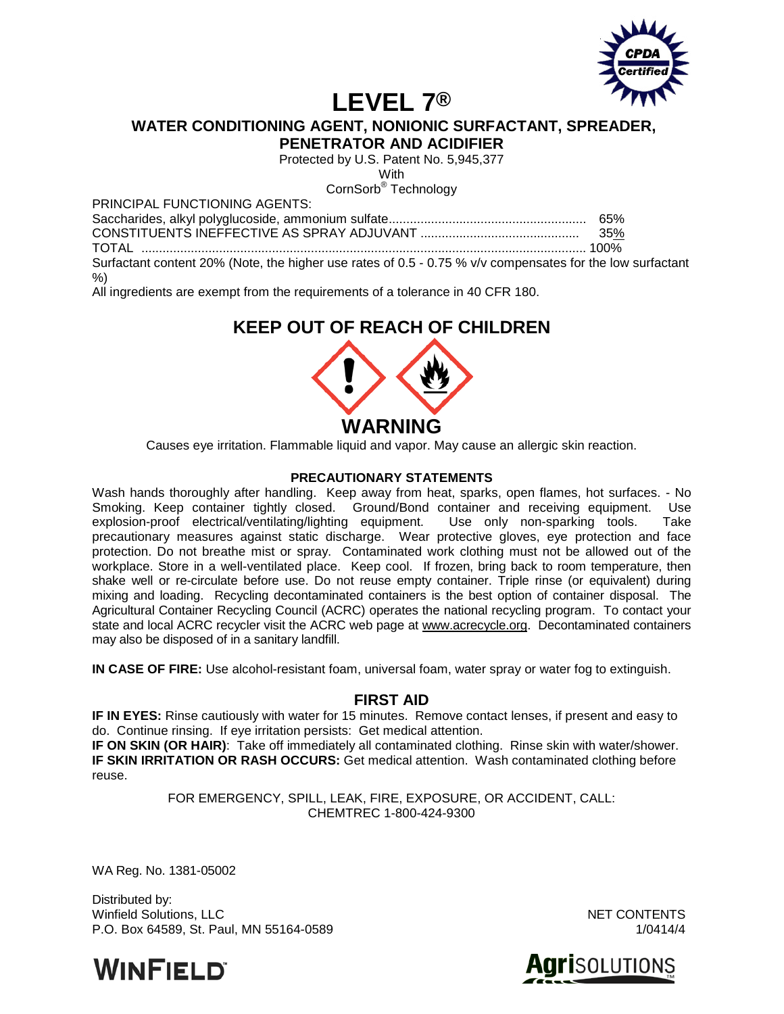

# **LEVEL 7®**

**WATER CONDITIONING AGENT, NONIONIC SURFACTANT, SPREADER,** 

**PENETRATOR AND ACIDIFIER**

Protected by U.S. Patent No. 5,945,377

With

CornSorb® Technology

PRINCIPAL FUNCTIONING AGENTS:

Saccharides, alkyl polyglucoside, ammonium sulfate........................................................ 65% CONSTITUENTS INEFFECTIVE AS SPRAY ADJUVANT ............................................. 35% TOTAL .............................................................................................................................. 100% Surfactant content 20% (Note, the higher use rates of 0.5 - 0.75 % v/v compensates for the low surfactant %)

All ingredients are exempt from the requirements of a tolerance in 40 CFR 180.

# **KEEP OUT OF REACH OF CHILDREN**



Causes eye irritation. Flammable liquid and vapor. May cause an allergic skin reaction.

#### **PRECAUTIONARY STATEMENTS**

Wash hands thoroughly after handling. Keep away from heat, sparks, open flames, hot surfaces. - No Smoking. Keep container tightly closed. Ground/Bond container and receiving equipment. Use explosion-proof electrical/ventilating/lighting equipment. Use only non-sparking tools. Take explosion-proof electrical/ventilating/lighting equipment. precautionary measures against static discharge. Wear protective gloves, eye protection and face protection. Do not breathe mist or spray. Contaminated work clothing must not be allowed out of the workplace. Store in a well-ventilated place. Keep cool. If frozen, bring back to room temperature, then shake well or re-circulate before use. Do not reuse empty container. Triple rinse (or equivalent) during mixing and loading. Recycling decontaminated containers is the best option of container disposal. The Agricultural Container Recycling Council (ACRC) operates the national recycling program. To contact your state and local ACRC recycler visit the ACRC web page at [www.acrecycle.org.](http://www.acrecycle.org/) Decontaminated containers may also be disposed of in a sanitary landfill.

**IN CASE OF FIRE:** Use alcohol-resistant foam, universal foam, water spray or water fog to extinguish.

## **FIRST AID**

**IF IN EYES:** Rinse cautiously with water for 15 minutes. Remove contact lenses, if present and easy to do. Continue rinsing. If eye irritation persists: Get medical attention.

**IF ON SKIN (OR HAIR)**: Take off immediately all contaminated clothing. Rinse skin with water/shower. **IF SKIN IRRITATION OR RASH OCCURS:** Get medical attention. Wash contaminated clothing before reuse.

> FOR EMERGENCY, SPILL, LEAK, FIRE, EXPOSURE, OR ACCIDENT, CALL: CHEMTREC 1-800-424-9300

WA Reg. No. 1381-05002

Distributed by: Winfield Solutions, LLC NET CONTENTS P.O. Box 64589, St. Paul, MN 55164-0589 1/0414/4 1/0414/4



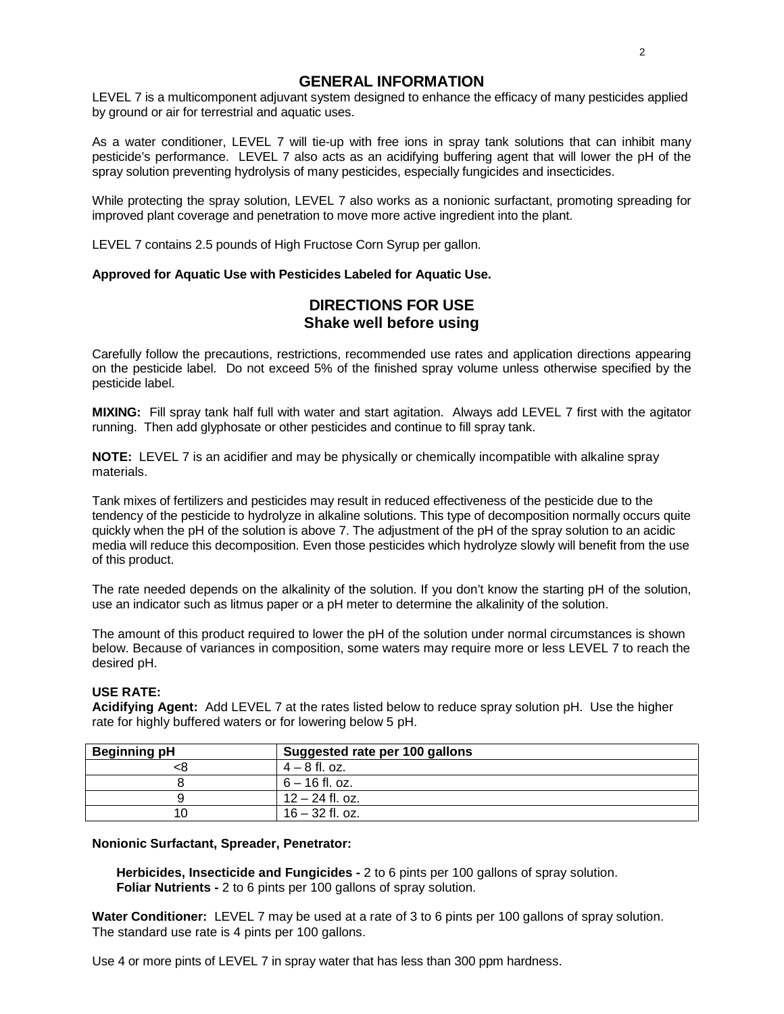### **GENERAL INFORMATION**

LEVEL 7 is a multicomponent adjuvant system designed to enhance the efficacy of many pesticides applied by ground or air for terrestrial and aquatic uses.

As a water conditioner, LEVEL 7 will tie-up with free ions in spray tank solutions that can inhibit many pesticide's performance. LEVEL 7 also acts as an acidifying buffering agent that will lower the pH of the spray solution preventing hydrolysis of many pesticides, especially fungicides and insecticides.

While protecting the spray solution, LEVEL 7 also works as a nonionic surfactant, promoting spreading for improved plant coverage and penetration to move more active ingredient into the plant.

LEVEL 7 contains 2.5 pounds of High Fructose Corn Syrup per gallon.

#### **Approved for Aquatic Use with Pesticides Labeled for Aquatic Use.**

# **DIRECTIONS FOR USE Shake well before using**

Carefully follow the precautions, restrictions, recommended use rates and application directions appearing on the pesticide label. Do not exceed 5% of the finished spray volume unless otherwise specified by the pesticide label.

**MIXING:** Fill spray tank half full with water and start agitation. Always add LEVEL 7 first with the agitator running. Then add glyphosate or other pesticides and continue to fill spray tank.

**NOTE:** LEVEL 7 is an acidifier and may be physically or chemically incompatible with alkaline spray materials.

Tank mixes of fertilizers and pesticides may result in reduced effectiveness of the pesticide due to the tendency of the pesticide to hydrolyze in alkaline solutions. This type of decomposition normally occurs quite quickly when the pH of the solution is above 7. The adjustment of the pH of the spray solution to an acidic media will reduce this decomposition. Even those pesticides which hydrolyze slowly will benefit from the use of this product.

The rate needed depends on the alkalinity of the solution. If you don't know the starting pH of the solution, use an indicator such as litmus paper or a pH meter to determine the alkalinity of the solution.

The amount of this product required to lower the pH of the solution under normal circumstances is shown below. Because of variances in composition, some waters may require more or less LEVEL 7 to reach the desired pH.

#### **USE RATE:**

**Acidifying Agent:** Add LEVEL 7 at the rates listed below to reduce spray solution pH. Use the higher rate for highly buffered waters or for lowering below 5 pH.

| <b>Beginning pH</b> | Suggested rate per 100 gallons |
|---------------------|--------------------------------|
|                     | $4 - 8$ fl. oz.                |
|                     | 6 – 16 fl. oz.                 |
|                     | $12 - 24$ fl. oz.              |
|                     | $16 - 32$ fl. oz.              |

#### **Nonionic Surfactant, Spreader, Penetrator:**

**Herbicides, Insecticide and Fungicides -** 2 to 6 pints per 100 gallons of spray solution. **Foliar Nutrients -** 2 to 6 pints per 100 gallons of spray solution.

**Water Conditioner:** LEVEL 7 may be used at a rate of 3 to 6 pints per 100 gallons of spray solution. The standard use rate is 4 pints per 100 gallons.

Use 4 or more pints of LEVEL 7 in spray water that has less than 300 ppm hardness.